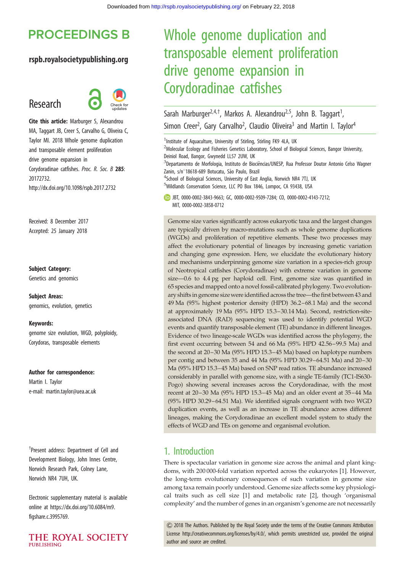# **PROCEEDINGS B**

### rspb.royalsocietypublishing.org

# Research



Cite this article: Marburger S, Alexandrou MA, Taggart JB, Creer S, Carvalho G, Oliveira C, Taylor MI. 2018 Whole genome duplication and transposable element proliferation drive genome expansion in Corydoradinae catfishes. Proc. R. Soc. B 285: 20172732. http://dx.doi.org/10.1098/rspb.2017.2732

Received: 8 December 2017 Accepted: 25 January 2018

#### Subject Category:

Genetics and genomics

Subject Areas: genomics, evolution, genetics

#### Keywords:

genome size evolution, WGD, polyploidy, Corydoras, transposable elements

#### Author for correspondence:

Martin I. Taylor e-mail: [martin.taylor@uea.ac.uk](mailto:martin.taylor@uea.ac.uk)

† Present address: Department of Cell and Development Biology, John Innes Centre, Norwich Research Park, Colney Lane, Norwich NR4 7UH, UK.

Electronic supplementary material is available online at [https://dx.doi.org/10.6084/m9.](https://dx.doi.org/10.6084/m9.figshare.c.3995769) [figshare.c.3995769](https://dx.doi.org/10.6084/m9.figshare.c.3995769).



# Whole genome duplication and transposable element proliferation drive genome expansion in Corydoradinae catfishes

Sarah Marburger<sup>2,4,†</sup>, Markos A. Alexandrou<sup>2,5</sup>, John B. Taggart<sup>1</sup>, , Simon Creer<sup>2</sup>, Gary Carvalho<sup>2</sup>, Claudio Oliveira<sup>3</sup> and Martin I. Taylor<sup>4</sup>

<sup>1</sup>Institute of Aquaculture, University of Stirling, Stirling FK9 4LA, UK <sup>2</sup>Molecular Ecology and Fisheries Genetics Laboratory, School of Biological Sciences, Bangor University, Deiniol Road, Bangor, Gwynedd LL57 2UW, UK <sup>3</sup>Departamento de Morfologia, Instituto de Biociências/UNESP, Rua Professor Doutor Antonio Celso Wagner Zanin, s/n°18618-689 Botucatu, São Paulo, Brazil <sup>4</sup>School of Biological Sciences, University of East Anglia, Norwich NR4 7TJ, UK 5 Wildlands Conservation Science, LLC PO Box 1846, Lompoc, CA 93438, USA JBT, [0000-0002-3843-9663](http://orcid.org/0000-0002-3843-9663); GC, [0000-0002-9509-7284;](http://orcid.org/0000-0002-9509-7284) CO, [0000-0002-4143-7212](http://orcid.org/0000-0002-4143-7212); MIT, [0000-0002-3858-0712](http://orcid.org/0000-0002-3858-0712) Genome size varies significantly across eukaryotic taxa and the largest changes are typically driven by macro-mutations such as whole genome duplications (WGDs) and proliferation of repetitive elements. These two processes may affect the evolutionary potential of lineages by increasing genetic variation and changing gene expression. Here, we elucidate the evolutionary history and mechanisms underpinning genome size variation in a species-rich group of Neotropical catfishes (Corydoradinae) with extreme variation in genome size—0.6 to 4.4 pg per haploid cell. First, genome size was quantified in 65 species and mapped onto a novel fossil-calibrated phylogeny. Two evolutionary shifts in genome size were identified across the tree—the first between 43 and 49 Ma (95% highest posterior density (HPD) 36.2–68.1 Ma) and the second at approximately 19 Ma (95% HPD 15.3–30.14 Ma). Second, restriction-siteassociated DNA (RAD) sequencing was used to identify potential WGD events and quantify transposable element (TE) abundance in different lineages. Evidence of two lineage-scale WGDs was identified across the phylogeny, the first event occurring between 54 and 66 Ma (95% HPD 42.56–99.5 Ma) and the second at 20–30 Ma (95% HPD 15.3–45 Ma) based on haplotype numbers per contig and between 35 and 44 Ma (95% HPD 30.29–64.51 Ma) and 20–30

Ma (95% HPD 15.3–45 Ma) based on SNP read ratios. TE abundance increased considerably in parallel with genome size, with a single TE-family (TC1-IS630- Pogo) showing several increases across the Corydoradinae, with the most recent at 20–30 Ma (95% HPD 15.3–45 Ma) and an older event at 35–44 Ma (95% HPD 30.29–64.51 Ma). We identified signals congruent with two WGD duplication events, as well as an increase in TE abundance across different lineages, making the Corydoradinae an excellent model system to study the effects of WGD and TEs on genome and organismal evolution.

# 1. Introduction

There is spectacular variation in genome size across the animal and plant kingdoms, with 200 000-fold variation reported across the eukaryotes [\[1\]](#page-7-0). However, the long-term evolutionary consequences of such variation in genome size among taxa remain poorly understood. Genome size affects some key physiological traits such as cell size [[1](#page-7-0)] and metabolic rate [\[2\]](#page-7-0), though 'organismal complexity' and the number of genes in an organism's genome are not necessarily

& 2018 The Authors. Published by the Royal Society under the terms of the Creative Commons Attribution License [http://creativecommons.org/licenses/by/4.0/, which permits unrestricted use, provided the original](http://creativecommons.org/licenses/by/4.0/) [author and source are credited.](http://creativecommons.org/licenses/by/4.0/)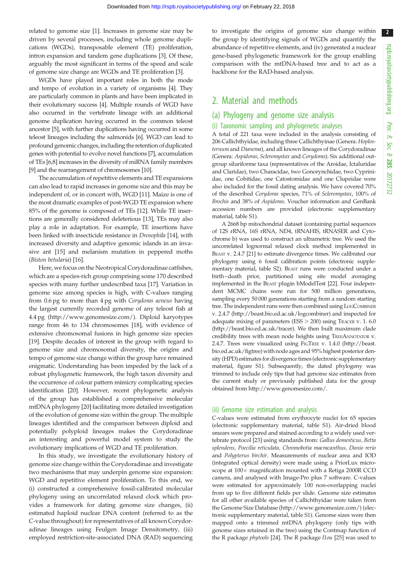2

related to genome size [[1](#page-7-0)]. Increases in genome size may be driven by several processes, including whole genome duplications (WGDs), transposable element (TE) proliferation, intron expansion and tandem gene duplications [\[3\]](#page-7-0). Of these, arguably the most significant in terms of the speed and scale of genome size change are WGDs and TE proliferation [\[3\]](#page-7-0).

WGDs have played important roles in both the mode and tempo of evolution in a variety of organisms [\[4](#page-8-0)]. They are particularly common in plants and have been implicated in their evolutionary success [\[4](#page-8-0)]. Multiple rounds of WGD have also occurred in the vertebrate lineage with an additional genome duplication having occurred in the common teleost ancestor [\[5](#page-8-0)], with further duplications having occurred in some teleost lineages including the salmonids [[6](#page-8-0)]. WGD can lead to profound genomic changes, including the retention of duplicated genes with potential to evolve novel functions [[7](#page-8-0)], accumulation of TEs [\[6,8\]](#page-8-0) increases in the diversity of miRNA family members [\[9\]](#page-8-0) and the rearrangement of chromosomes [\[10\]](#page-8-0).

The accumulation of repetitive elements and TE expansions can also lead to rapid increases in genome size and this may be independent of, or in concert with, WGD [\[11\]](#page-8-0). Maize is one of the most dramatic examples of post-WGD TE expansion where 85% of the genome is composed of TEs [[12\]](#page-8-0). While TE insertions are generally considered deleterious [\[13](#page-8-0)], TEs may also play a role in adaptation. For example, TE insertions have been linked with insecticide resistance in Drosophila [\[14\]](#page-8-0), with increased diversity and adaptive genomic islands in an invasive ant [[15\]](#page-8-0) and melanism mutation in peppered moths (Biston betularia) [\[16](#page-8-0)].

Here, we focus on the Neotropical Corydoradinae catfishes, which are a species-rich group comprising some 170 described species with many further undescribed taxa [\[17](#page-8-0)]. Variation in genome size among species is high, with C-values ranging from 0.6 pg to more than 4 pg with Corydoras aeneus having the largest currently recorded genome of any teleost fish at 4.4 pg [\(http://www.genomesize.com/\)](http://www.genomesize.com/). Diploid karyotypes range from 46 to 134 chromosomes [\[18](#page-8-0)], with evidence of extensive chromosomal fusions in high genome size species [\[19](#page-8-0)]. Despite decades of interest in the group with regard to genome size and chromosomal diversity, the origins and tempo of genome size change within the group have remained enigmatic. Understanding has been impeded by the lack of a robust phylogenetic framework, the high taxon diversity and the occurrence of colour pattern mimicry complicating species identification [[20\]](#page-8-0). However, recent phylogenetic analysis of the group has established a comprehensive molecular mtDNA phylogeny [\[20](#page-8-0)] facilitating more detailed investigation of the evolution of genome size within the group. The multiple lineages identified and the comparison between diploid and potentially polyploid lineages makes the Corydoradinae an interesting and powerful model system to study the evolutionary implications of WGD and TE proliferation.

In this study, we investigate the evolutionary history of genome size change within the Corydoradinae and investigate two mechanisms that may underpin genome size expansion: WGD and repetitive element proliferation. To this end, we (i) constructed a comprehensive fossil-calibrated molecular phylogeny using an uncorrelated relaxed clock which provides a framework for dating genome size changes, (ii) estimated haploid nuclear DNA content (referred to as the C-value throughout) for representatives of all known Corydoradinae lineages using Feulgen Image Densitometry, (iii) employed restriction-site-associated DNA (RAD) sequencing

to investigate the origins of genome size change within the group by identifying signals of WGDs and quantify the abundance of repetitive elements, and (iv) generated a nuclear gene-based phylogenetic framework for the group enabling comparison with the mtDNA-based tree and to act as a backbone for the RAD-based analysis.

# 2. Material and methods

# (a) Phylogeny and genome size analysis

### (i) Taxonomic sampling and phylogenetic analyses

A total of 221 taxa were included in the analysis consisting of 206 Callichthyidae, including three Callichthyinae (Genera: Hoplosternum and Dianema), and all known lineages of the Corydoradinae (Genera: Aspidoras, Scleromystax and Corydoras). Six additional outgroup siluriforme taxa (representatives of the Aroidae, Ictaluridae and Claridae), two Characidae, two Gonorynchidae, two Cyprinidae, one Cobitidae, one Catostomidae and one Clupeidae were also included for the fossil dating analysis. We have covered 70% of the described Corydoras species, 71% of Scleromystax, 100% of Brochis and 38% of Aspidoras. Voucher information and GenBank accession numbers are provided (electronic supplementary material, table S1).

A 2668 bp mitochondrial dataset (containing partial sequences of 12S rRNA, 16S rRNA, ND4, tRNAHIS, tRNASER and Cytochrome b) was used to construct an ultrametric tree. We used the uncorrelated lognormal relaxed clock method implemented in BEAST v. 2.4.7 [\[21](#page-8-0)] to estimate divergence times. We calibrated our phylogeny using 6 fossil calibration points (electronic supplementary material, table S2). BEAST runs were conducted under a birth–death prior, partitioned using site model averaging implemented in the BEAST plugin bModelTest [[22](#page-8-0)]. Four independent MCMC chains were run for 500 million generations, sampling every 50 000 generations starting from a random starting tree. The independent runs were then combined using LOGCOMBINER v. 2.4.7 [\(http://beast.bio.ed.ac.uk/logcombiner](http://beast.bio.ed.ac.uk/logcombiner)) and inspected for adequate mixing of parameters ( $ESS > 200$ ) using TRACER v. 1. 6.0 [\(http://beast.bio.ed.ac.uk/tracer\)](http://beast.bio.ed.ac.uk/tracer). We then built maximum clade credibility trees with mean node heights using TREEANNOTATOR v. 2.4.7. Trees were visualized using FIGTREE v. 1.4.0 [\(http://beast.](http://beast.bio.ed.ac.uk/figtree) [bio.ed.ac.uk/figtree](http://beast.bio.ed.ac.uk/figtree)) with node ages and 95% highest posterior density (HPD) estimates for divergence times (electronic supplementary material, figure S1). Subsequently, the dated phylogeny was trimmed to include only tips that had genome size estimates from the current study or previously published data for the group obtained from<http://www.genomesize.com/>.

### (ii) Genome size estimation and analysis

C-values were estimated from erythrocyte nuclei for 65 species (electronic supplementary material, table S1). Air-dried blood smears were prepared and stained according to a widely used vertebrate protocol [\[23\]](#page-8-0) using standards from: Gallus domesticus, Betta splendens, Poecilia reticulata, Chromobotia macracanthus, Danio rerio and Polypterus birchir. Measurements of nuclear area and IOD (integrated optical density) were made using a PriorLux microscope at  $100\times$  magnification mounted with a Retiga 2000R CCD camera, and analysed with Image-Pro plus 7 software. C-values were estimated for approximately 100 non-overlapping nuclei from up to five different fields per slide. Genome size estimates for all other available species of Callichthyidae were taken from the Genome Size Database [\(http://www.genomesize.com/\)](http://www.genomesize.com/) (electronic supplementary material, table S1). Genome sizes were then mapped onto a trimmed mtDNA phylogeny (only tips with genome sizes retained in the tree) using the Contmap function of the R package phytools [[24](#page-8-0)]. The R package l1ou [\[25\]](#page-8-0) was used to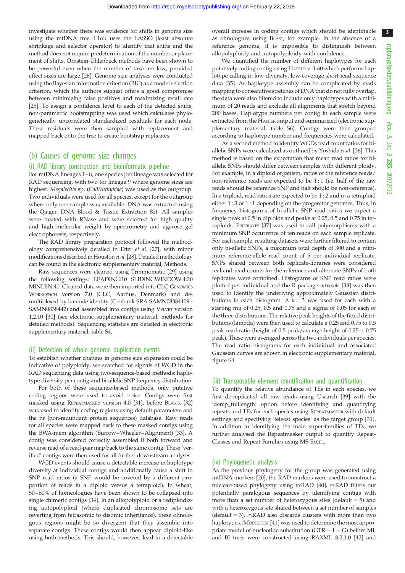3

investigate whether there was evidence for shifts in genome size using the mtDNA tree. L1ou uses the LASSO (least absolute shrinkage and selector operator) to identify trait shifts and the method does not require predetermination of the number or placement of shifts. Ornstein-Uhlenbeck methods have been shown to be powerful even when the number of taxa are low, provided effect sizes are large [\[26\]](#page-8-0). Genome size analyses were conducted using the Bayesian information criterion (BIC) as a model selection criterion, which the authors suggest offers a good compromise between minimizing false positives and maximizing recall rate [\[25\]](#page-8-0). To assign a confidence level to each of the detected shifts, non-parametric bootstrapping was used which calculates phylogenetically uncorrelated standardized residuals for each node. These residuals were then sampled with replacement and mapped back onto the tree to create bootstrap replicates.

## (b) Causes of genome size changes

#### (i) RAD library construction and bioinformatic pipeline

For mtDNA lineages 1-8, one species per lineage was selected for RAD sequencing, with two for lineage 9 where genome sizes are highest. Megalechis sp. (Callichthyidae) was used as the outgroup. Two individuals were used for all species, except for the outgroup where only one sample was available. DNA was extracted using the Qiagen DNA Blood & Tissue Extraction Kit. All samples were treated with RNase and were selected for high quality and high molecular weight by spectrometry and agarose gel electrophoresis, respectively.

The RAD library preparation protocol followed the methodology comprehensively detailed in Etter et al. [\[27\]](#page-8-0), with minor modifications described in Houston et al. [\[28](#page-8-0)]. Detailed methodology can be found in the electronic supplementary material, Methods.

Raw sequences were cleaned using Trimmomatic [[29](#page-8-0)] using the following settings: LEADING:10 SLIDINGWINDOW:4:20 MINLEN:40. Cleaned data were then imported into CLC GENOMICS WORKBENCH version 7.0 (CLC, Aarhus, Denmark) and demultiplexed by barcode identity (Genbank SRA SAMN08384409 - SAMN0838442) and assembled into contigs using VELVET version 1.2.10 [\[30](#page-8-0)] (see electronic supplementary material, methods for detailed methods). Sequencing statistics are detailed in electronic supplementary material, table S4.

#### (ii) Detection of whole genome duplication events

To establish whether changes in genome size expansion could be indicative of polyploidy, we searched for signals of WGD in the RAD sequencing data using two-sequence-based methods: haplotype diversity per contig and bi-allelic SNP frequency distribution.

For both of these sequence-based methods, only putative coding regions were used to avoid noise. Contigs were first masked using REPEATMASKER version 4.0 [[31](#page-8-0)], before BLASTX [\[32\]](#page-8-0) was used to identify coding regions using default parameters and the nr (non-redundant protein sequences) database. Raw reads for all species were mapped back to these masked contigs using the BWA-mem algorithm (Burrow–Wheeler–Alignment) [\[33\]](#page-8-0). A contig was considered correctly assembled if both forward and reverse read of a read-pair map back to the same contig. These 'verified' contigs were then used for all further downstream analyses.

WGD events should cause a detectable increase in haplotype diversity at individual contigs and additionally cause a shift in SNP read ratios (a SNP would be covered by a different proportion of reads in a diploid versus a tetraploid). In wheat, 50 – 60% of homeologues have been shown to be collapsed into single chimeric contigs [[34](#page-8-0)]. In an allopolyploid or a rediploidizing autopolyploid (where duplicated chromosome sets are reverting from tetrasomic to disomic inheritance), these ohnologous regions might be so divergent that they assemble into separate contigs. These contigs would then appear diploid-like using both methods. This should, however, lead to a detectable overall increase in coding contigs which should be identifiable as ohnologues using BLAST, for example. In the absence of a reference genome, it is impossible to distinguish between allopolyploidy and autopolyploidy with confidence.

We quantified the number of different haplotypes for each putatively coding contig using HAPLER v. 1.60 which performs haplotype calling in low-diversity, low-coverage short-read sequence data [\[35\]](#page-8-0). As haplotype assembly can be complicated by reads mapping to consecutive stretches of DNA that do not fully overlap, the data were also filtered to include only haplotypes with a minimum of 20 reads and exclude all alignments that stretch beyond 200 bases. Haplotype numbers per contig in each sample were extracted from the HAPLER output and summarized (electronic supplementary material, table S6). Contigs were then grouped according to haplotype number and frequencies were calculated.

As a second method to identify WGDs read count ratios for biallelic SNPs were calculated as outlined by Yoshida et al. [[36](#page-8-0)]. This method is based on the expectation that mean read ratios for biallelic SNPs should differ between samples with different ploidy. For example, in a diploid organism, ratios of the reference reads/ non-reference reads are expected to be 1 : 1 (i.e. half of the raw reads should be reference SNP and half should be non-reference). In a triploid, read ratios are expected to be 1 : 2 and in a tetraploid either 1 : 3 or 1 : 1 depending on the progenitor genomes. Thus, in frequency histograms of bi-allelic SNP read ratios we expect a single peak at 0.5 in diploids and peaks at 0.25, 0.5 and 0.75 in tetraploids. FREEBAYES [\[37\]](#page-8-0) was used to call polymorphisms with a minimum SNP occurrence of ten reads on each sample replicate. For each sample, resulting datasets were further filtered to contain only bi-allelic SNPs, a maximum total depth of 300 and a minimum reference-allele read count of 5 per individual replicate. SNPs shared between both replicate-libraries were considered real and read counts for the reference and alternate SNPs of both replicates were combined. Histograms of SNP read ratios were plotted per individual and the R package mixtools [\[38](#page-8-0)] was then used to identify the underlying approximately Gaussian distributions in each histogram. A  $k = 3$  was used for each with a starting mu of 0.25, 0.5 and 0.75 and a sigma of 0.05 for each of the three distributions. The relative peak heights of the fitted distributions (lambda) were then used to calculate a 0.25 and 0.75 to 0.5 peak read ratio (height of 0.5 peak/average height of  $0.25 + 0.75$ peak). These were averaged across the two individuals per species. The read ratio histograms for each individual and associated Gaussian curves are shown in electronic supplementary material, figure S4.

#### (iii) Transposable element identification and quantification

To quantify the relative abundance of TEs in each species, we first de-replicated all raw reads using Usearch [\[39](#page-8-0)] with the 'derep\_fulllength' option before identifying and quantifying repeats and TEs for each species using REPEATMASKER with default settings and specifying 'teleost species' as the target group [\[31\]](#page-8-0). In addition to identifying the main super-families of TEs, we further analysed the Repeatmasker output to quantify Repeat-Classes and Repeat-Families using MS EXCEL.

#### (iv) Phylogenetic analysis

As the previous phylogeny for the group was generated using mtDNA markers [\[20\]](#page-8-0), the RAD markers were used to construct a nuclear-based phylogeny using PYRAD [\[40\]](#page-8-0). PYRAD filters out potentially paralogous sequences by identifying contigs with more than a set number of heterozygous sites (default  $= 5$ ) and with a heterozygous site shared between a set number of samples  $(default = 3)$ . PYRAD also discards clusters with more than two haplotypes. JMODELTEST [[41](#page-8-0)] was used to determine the most appropriate model of nucleotide substitution  $(GTR + I + G)$  before ML and BI trees were constructed using RAXML 8.2.1.0 [\[42\]](#page-8-0) and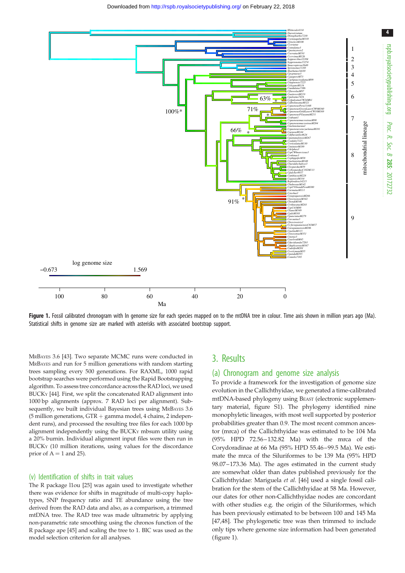<span id="page-3-0"></span>

Figure 1. Fossil calibrated chronogram with In genome size for each species mapped on to the mtDNA tree in colour. Time axis shown in million years ago (Ma). Statistical shifts in genome size are marked with asterisks with associated bootstrap support.

MRBAYES 3.6 [[43](#page-8-0)]. Two separate MCMC runs were conducted in MRBAYES and run for 5 million generations with random starting trees sampling every 500 generations. For RAXML, 1000 rapid bootstrap searches were performed using the Rapid Bootstrapping algorithm. To assess tree concordance across the RAD loci, we used BUCKY [\[44\]](#page-8-0). First, we split the concatenated RAD alignment into 1000 bp alignments (approx. 7 RAD loci per alignment). Subsequently, we built individual Bayesian trees using MRBAYES 3.6 (5 million generations,  $GTR +$  gamma model, 4 chains, 2 independent runs), and processed the resulting tree files for each 1000 bp alignment independently using the BUCKY mbsum utility using a 20% burnin. Individual alignment input files were then run in BUCKY (10 million iterations, using values for the discordance prior of  $A = 1$  and 25).

#### (v) Identification of shifts in trait values

The R package l1ou [[25](#page-8-0)] was again used to investigate whether there was evidence for shifts in magnitude of multi-copy haplotypes, SNP frequency ratio and TE abundance using the tree derived from the RAD data and also, as a comparison, a trimmed mtDNA tree. The RAD tree was made ultrametric by applying non-parametric rate smoothing using the chronos function of the R package ape [[45](#page-8-0)] and scaling the tree to 1. BIC was used as the model selection criterion for all analyses.

# 3. Results

#### (a) Chronogram and genome size analysis

To provide a framework for the investigation of genome size evolution in the Callichthyidae, we generated a time-calibrated mtDNA-based phylogeny using BEAST (electronic supplementary material, figure S1). The phylogeny identified nine monophyletic lineages, with most well supported by posterior probabilities greater than 0.9. The most recent common ancestor (mrca) of the Callichthyidae was estimated to be 104 Ma (95% HPD 72.56–132.82 Ma) with the mrca of the Corydoradinae at 66 Ma (95% HPD 55.46–99.5 Ma). We estimate the mrca of the Siluriformes to be 139 Ma (95% HPD 98.07–173.36 Ma). The ages estimated in the current study are somewhat older than dates published previously for the Callichthyidae: Mariguela et al. [[46\]](#page-8-0) used a single fossil calibration for the stem of the Callichthyidae at 58 Ma. However, our dates for other non-Callichthyidae nodes are concordant with other studies e.g. the origin of the Siluriformes, which has been previously estimated to be between 100 and 145 Ma [[47,48\]](#page-8-0). The phylogenetic tree was then trimmed to include only tips where genome size information had been generated (figure 1).

Proc. R. Soc. $\sigma$ 

285: 20172732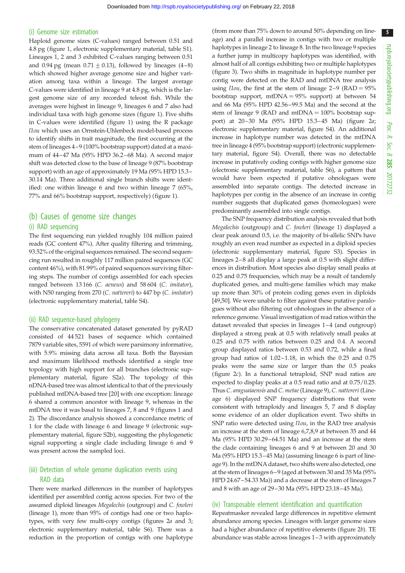#### (i) Genome size estimation

Haploid genome sizes (C-values) ranged between 0.51 and 4.8 pg ([figure 1](#page-3-0), electronic supplementary material, table S1). Lineages 1, 2 and 3 exhibited C-values ranging between 0.51 and 0.94 pg (mean  $0.71 \pm 0.13$ ), followed by lineages (4–8) which showed higher average genome size and higher variation among taxa within a lineage. The largest average C-values were identified in lineage 9 at 4.8 pg, which is the largest genome size of any recorded teleost fish. While the averages were highest in lineage 9, lineages 6 and 7 also had individual taxa with high genome sizes [\(figure 1](#page-3-0)). Five shifts in C-values were identified [\(figure 1](#page-3-0)) using the R package l1ou which uses an Ornstein-Uhlenbeck model-based process to identify shifts in trait magnitude, the first occurring at the stem of lineages 4–9 (100% bootstrap support) dated at a maximum of 44–47 Ma (95% HPD 36.2–68 Ma). A second major shift was detected close to the base of lineage 9 (87% bootstrap support) with an age of approximately 19 Ma (95% HPD 15.3– 30.14 Ma). Three additional single branch shifts were identified: one within lineage 6 and two within lineage 7 (65%, 77% and 66% bootstrap support, respectively) ([figure 1](#page-3-0)).

### (b) Causes of genome size changes

#### (i) RAD sequencing

The first sequencing run yielded roughly 104 million paired reads (GC content 47%). After quality filtering and trimming, 93.52% of the original sequences remained. The second sequencing run resulted in roughly 117 million paired sequences (GC content 46%), with 81.99% of paired sequences surviving filtering steps. The number of contigs assembled for each species ranged between 13 166 (C. aeneus) and 58 604 (C. imitator), with N50 ranging from 270 (C. nattereri) to 447 bp (C. imitator) (electronic supplementary material, table S4).

#### (ii) RAD sequence-based phylogeny

The conservative concatenated dataset generated by pyRAD consisted of 44 521 bases of sequence which contained 7879 variable sites, 5591 of which were parsimony informative, with 5.9% missing data across all taxa. Both the Bayesian and maximum likelihood methods identified a single tree topology with high support for all branches (electronic supplementary material, figure S2a). The topology of this nDNA-based tree was almost identical to that of the previously published mtDNA-based tree [\[20](#page-8-0)] with one exception: lineage 6 shared a common ancestor with lineage 9, whereas in the mtDNA tree it was basal to lineages 7, 8 and 9 (figures [1](#page-3-0) and [2](#page-5-0)). The discordance analysis showed a concordance metric of 1 for the clade with lineage 6 and lineage 9 (electronic supplementary material, figure S2b), suggesting the phylogenetic signal supporting a single clade including lineage 6 and 9 was present across the sampled loci.

### (iii) Detection of whole genome duplication events using RAD data

There were marked differences in the number of haplotypes identified per assembled contig across species. For two of the assumed diploid lineages Megalechis (outgroup) and C. fowleri (lineage 1), more than 95% of contigs had one or two haplotypes, with very few multi-copy contigs (figures [2](#page-5-0)a and [3](#page-6-0); electronic supplementary material, table S6). There was a reduction in the proportion of contigs with one haplotype (from more than 75% down to around 50% depending on lineage) and a parallel increase in contigs with two or multiple haplotypes in lineage 2 to lineage 8. In the two lineage 9 species a further jump in multicopy haplotypes was identified, with almost half of all contigs exhibiting two or multiple haplotypes ([figure 3](#page-6-0)). Two shifts in magnitude in haplotype number per contig were detected on the RAD and mtDNA tree analysis using *llou*, the first at the stem of lineage  $2-9$  (RAD =  $95\%$ ) bootstrap support,  $mtDNA = 95%$  support) at between 54 and 66 Ma (95% HPD 42.56–99.5 Ma) and the second at the stem of lineage 9 (RAD and  $mtDNA = 100\%$  bootstrap support) at 20–30 Ma (95% HPD 15.3–45 Ma) ([figure 2](#page-5-0)a; electronic supplementary material, figure S4). An additional increase in haplotype number was detected in the mtDNA tree in lineage 4 (95% bootstrap support) (electronic supplementary material, figure S4). Overall, there was no detectable increase in putatively coding contigs with higher genome size (electronic supplementary material, table S6), a pattern that would have been expected if putative ohnologues were assembled into separate contigs. The detected increase in haplotypes per contig in the absence of an increase in contig number suggests that duplicated genes (homeologues) were predominantly assembled into single contigs.

The SNP frequency distribution analysis revealed that both Megalechis (outgroup) and C. fowleri (lineage 1) displayed a clear peak around 0.5, i.e. the majority of bi-allelic SNPs have roughly an even read number as expected in a diploid species (electronic supplementary material, figure S3). Species in lineages 2–8 all display a large peak at 0.5 with slight differences in distribution. Most species also display small peaks at 0.25 and 0.75 frequencies, which may be a result of tandemly duplicated genes, and multi-gene families which may make up more than 30% of protein coding genes even in diploids [[49,](#page-8-0)[50\]](#page-9-0). We were unable to filter against these putative paralogues without also filtering out ohnologues in the absence of a reference genome. Visual investigation of read ratios within the dataset revealed that species in lineages 1–4 (and outgroup) displayed a strong peak at 0.5 with relatively small peaks at 0.25 and 0.75 with ratios between 0.25 and 0.4. A second group displayed ratios between 0.53 and 0.72, while a final group had ratios of 1.02–1.18, in which the 0.25 and 0.75 peaks were the same size or larger than the 0.5 peaks ([figure 2](#page-5-0)c). In a functional tetraploid, SNP read ratios are expected to display peaks at a 0.5 read ratio and at 0.75/0.25. Thus C. araguaiaensis and C. metae(Lineage 9), C. nattereri (Lineage 6) displayed SNP frequency distributions that were consistent with tetraploidy and lineages 5, 7 and 8 display some evidence of an older duplication event. Two shifts in SNP ratio were detected using  $11ou$ , in the RAD tree analysis an increase at the stem of lineage 6,7,8,9 at between 35 and 44 Ma (95% HPD 30.29–64.51 Ma) and an increase at the stem the clade containing lineages 6 and 9 at between 20 and 30 Ma (95% HPD 15.3–45 Ma) (assuming lineage 6 is part of lineage 9). In the mtDNA dataset, two shifts were also detected, one at the stem of lineages 6–9 (aged at between 30 and 35 Ma (95% HPD 24.67–54.33 Ma)) and a decrease at the stem of lineages 7 and 8 with an age of 29–30 Ma (95% HPD 23.18–45 Ma).

#### (iv) Transposable element identification and quantification

Repeatmasker revealed large differences in repetitive element abundance among species. Lineages with larger genome sizes had a higher abundance of repetitive elements [\(figure 2](#page-5-0)b). TE abundance was stable across lineages 1–3 with approximately

5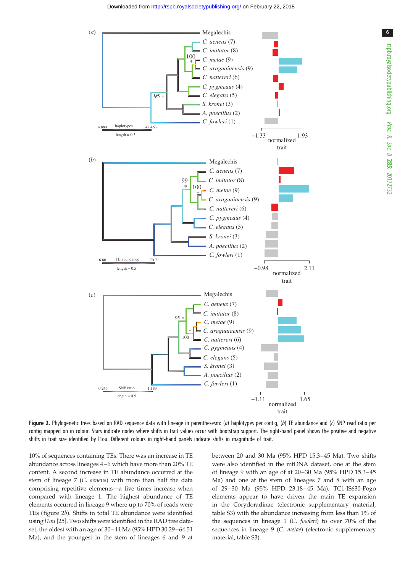<span id="page-5-0"></span>

6

Figure 2. Phylogenetic trees based on RAD sequence data with lineage in parenthesesm: (a) haplotypes per contig, (b) TE abundance and (c) SNP read ratio per contig mapped on in colour. Stars indicate nodes where shifts in trait values occur with bootstrap support. The right-hand panel shows the positive and negative shifts in trait size identified by l1ou. Different colours in right-hand panels indicate shifts in magnitude of trait.

10% of sequences containing TEs. There was an increase in TE abundance across lineages 4–6 which have more than 20% TE content. A second increase in TE abundance occurred at the stem of lineage 7 (C. aeneus) with more than half the data comprising repetitive elements—a five times increase when compared with lineage 1. The highest abundance of TE elements occurred in lineage 9 where up to 70% of reads were TEs (figure 2b). Shifts in total TE abundance were identified using l1ou [\[25\]](#page-8-0). Two shifts were identified in the RAD tree dataset, the oldest with an age of 30–44 Ma (95% HPD 30.29–64.51 Ma), and the youngest in the stem of lineages 6 and 9 at

between 20 and 30 Ma (95% HPD 15.3–45 Ma). Two shifts were also identified in the mtDNA dataset, one at the stem of lineage 9 with an age of at 20–30 Ma (95% HPD 15.3–45 Ma) and one at the stem of lineages 7 and 8 with an age of 29–30 Ma (95% HPD 23.18–45 Ma). TC1-IS630-Pogo elements appear to have driven the main TE expansion in the Corydoradinae (electronic supplementary material, table S3) with the abundance increasing from less than 1% of the sequences in lineage 1 (C. fowleri) to over 70% of the sequences in lineage 9 (C. metae) (electronic supplementary material, table S3).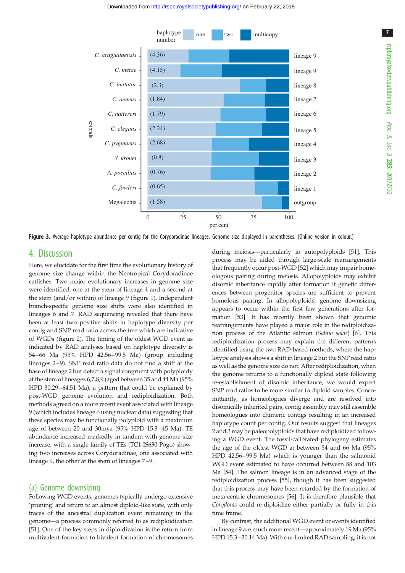<span id="page-6-0"></span>

Figure 3. Average haplotype abundance per contig for the Corydoradinae lineages. Genome size displayed in parentheses. (Online version in colour.)

# 4. Discussion

Here, we elucidate for the first time the evolutionary history of genome size change within the Neotropical Corydoradinae catfishes. Two major evolutionary increases in genome size were identified, one at the stem of lineage 4 and a second at the stem (and/or within) of lineage 9 [\(figure 1\)](#page-3-0). Independent branch-specific genome size shifts were also identified in lineages 6 and 7. RAD sequencing revealed that there have been at least two positive shifts in haplotype diversity per contig and SNP read ratio across the tree which are indicative of WGDs ([figure 2](#page-5-0)). The timing of the oldest WGD event as indicated by RAD analyses based on haplotype diversity is 54–66 Ma (95% HPD 42.56–99.5 Ma) (group including lineages 2–9). SNP read ratio data do not find a shift at the base of lineage 2 but detect a signal congruent with polyploidy at the stem of lineages 6,7,8,9 (aged between 35 and 44 Ma (95% HPD 30.29–64.51 Ma), a pattern that could be explained by post-WGD genome evolution and rediploidization. Both methods agreed on a more recent event associated with lineage 9 (which includes lineage 6 using nuclear data) suggesting that these species may be functionally polyploid with a maximum age of between 20 and 30mya (95% HPD 15.3–45 Ma). TE abundance increased markedly in tandem with genome size increase, with a single family of TEs (TC1-IS630-Pogo) showing two increases across Corydoradinae, one associated with lineage 9, the other at the stem of lineages 7–9.

#### (a) Genome downsizing

Following WGD events, genomes typically undergo extensive 'pruning' and return to an almost diploid-like state, with only traces of the ancestral duplication event remaining in the genome—a process commonly referred to as rediploidization [\[51](#page-9-0)]. One of the key steps in diploidization is the return from multivalent formation to bivalent formation of chromosomes during meiosis—particularly in autopolyploids [\[51\]](#page-9-0). This process may be aided through large-scale rearrangements that frequently occur post-WGD [\[52](#page-9-0)] which may impair homeologous pairing during meiosis. Allopolyploids may exhibit disomic inheritance rapidly after formation if genetic differences between progenitor species are sufficient to prevent homolous pairing. In allopolyploids, genome downsizing appears to occur within the first few generations after formation [[53\]](#page-9-0). It has recently been shown that genomic rearrangements have played a major role in the rediploidization process of the Atlantic salmon (Salmo salar) [[6](#page-8-0)]. This rediploidization process may explain the different patterns identified using the two RAD-based methods, where the haplotype analysis shows a shift in lineage 2 but the SNP read ratio as well as the genome size do not. After rediploidization, when the genome returns to a functionally diploid state following re-establishment of disomic inheritance, we would expect SNP read ratios to be more similar to diploid samples. Concomittantly, as homeologues diverge and are resolved into disomically inherited pairs, contig assembly may still assemble homeologues into chimeric contigs resulting in an increased haplotype count per contig. Our results suggest that lineages 2 and 3 may be paleopolyploids that have rediploidized following a WGD event. The fossil-calibrated phylogeny estimates the age of the oldest WGD at between 54 and 66 Ma (95% HPD 42.56–99.5 Ma) which is younger than the salmonid WGD event estimated to have occurred between 88 and 103 Ma [\[54](#page-9-0)]. The salmon lineage is in an advanced stage of the rediploidization process [\[55](#page-9-0)], though it has been suggested that this process may have been retarded by the formation of meta-centric chromosomes [[56\]](#page-9-0). It is therefore plausible that Corydoras could re-diploidize either partially or fully in this time frame.

By contrast, the additional WGD event or events identified in lineage 9 are much more recent—approximately 19 Ma (95% HPD 15.3–30.14 Ma). With our limited RAD sampling, it is not 7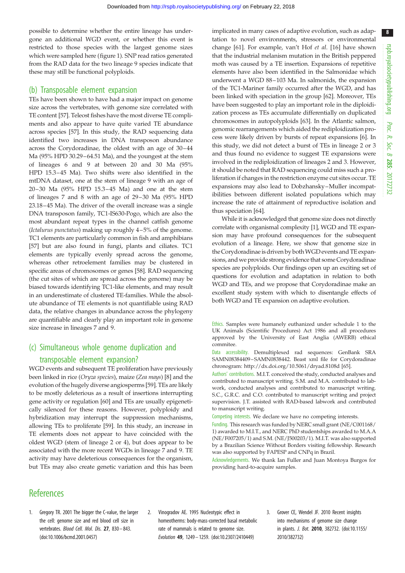<span id="page-7-0"></span>possible to determine whether the entire lineage has undergone an additional WGD event, or whether this event is restricted to those species with the largest genome sizes which were sampled here [\(figure 1](#page-3-0)). SNP read ratios generated from the RAD data for the two lineage 9 species indicate that these may still be functional polyploids.

#### (b) Transposable element expansion

TEs have been shown to have had a major impact on genome size across the vertebrates, with genome size correlated with TE content [[57\]](#page-9-0). Teleost fishes have the most diverse TE compliments and also appear to have quite varied TE abundance across species [\[57](#page-9-0)]. In this study, the RAD sequencing data identified two increases in DNA transposon abundance across the Corydoradinae, the oldest with an age of 30–44 Ma (95% HPD 30.29–64.51 Ma), and the youngest at the stem of lineages 6 and 9 at between 20 and 30 Ma (95% HPD 15.3–45 Ma). Two shifts were also identified in the mtDNA dataset, one at the stem of lineage 9 with an age of 20–30 Ma (95% HPD 15.3–45 Ma) and one at the stem of lineages 7 and 8 with an age of 29–30 Ma (95% HPD 23.18–45 Ma). The driver of the overall increase was a single DNA transposon family, TC1-IS630-Pogo, which are also the most abundant repeat types in the channel catfish genome (Ictalurus punctatus) making up roughly 4–5% of the genome. TC1 elements are particularly common in fish and amphibians [\[57](#page-9-0)] but are also found in fungi, plants and ciliates. TC1 elements are typically evenly spread across the genome, whereas other retroelement families may be clustered in specific areas of chromosomes or genes [\[58\]](#page-9-0). RAD sequencing (the cut sites of which are spread across the genome) may be biased towards identifying TC1-like elements, and may result in an underestimate of clustered TE-families. While the absolute abundance of TE elements is not quantifiable using RAD data, the relative changes in abundance across the phylogeny are quantifiable and clearly play an important role in genome size increase in lineages 7 and 9.

# (c) Simultaneous whole genome duplication and transposable element expansion?

WGD events and subsequent TE proliferation have previously been linked in rice (Oryza species), maize (Zea mays) [[8](#page-8-0)] and the evolution of the hugely diverse angiosperms [[59\]](#page-9-0). TEs are likely to be mostly deleterious as a result of insertions interrupting gene activity or regulation [[60](#page-9-0)] and TEs are usually epigenetically silenced for these reasons. However, polyploidy and hybridization may interrupt the suppression mechanisms, allowing TEs to proliferate [[59\]](#page-9-0). In this study, an increase in TE elements does not appear to have coincided with the oldest WGD (stem of lineage 2 or 4), but does appear to be associated with the more recent WGDs in lineage 7 and 9. TE activity may have deleterious consequences for the organism, but TEs may also create genetic variation and this has been

implicated in many cases of adaptive evolution, such as adaptation to novel environments, stressors or environmental change [\[61](#page-9-0)]. For example, van't Hof et al. [[16](#page-8-0)] have shown that the industrial melanism mutation in the British peppered moth was caused by a TE insertion. Expansions of repetitive elements have also been identified in the Salmonidae which underwent a WGD 88–103 Ma. In salmonids, the expansion of the TC1-Mariner family occurred after the WGD, and has been linked with speciation in the group [\[62](#page-9-0)]. Moreover, TEs have been suggested to play an important role in the diploidization process as TEs accumulate differentially on duplicated chromosomes in autopolyploids [[63](#page-9-0)]. In the Atlantic salmon, genomic rearrangements which aided the rediploidization process were likely driven by bursts of repeat expansions [\[6](#page-8-0)]. In this study, we did not detect a burst of TEs in lineage 2 or 3 and thus found no evidence to suggest TE expansions were involved in the rediploidization of lineages 2 and 3. However, it should be noted that RAD sequencing could miss such a proliferation if changes in the restriction enzyme cut sites occur. TE expansions may also lead to Dobzhansky–Muller incompatibilities between different isolated populations which may increase the rate of attainment of reproductive isolation and thus speciation [[64\]](#page-9-0).

While it is acknowledged that genome size does not directly correlate with organismal complexity [1], WGD and TE expansion may have profound consequences for the subsequent evolution of a lineage. Here, we show that genome size in the Corydoradinae is driven by both WGD events and TE expansions, and we provide strong evidence that some Corydoradinae species are polyploids. Our findings open up an exciting set of questions for evolution and adaptation in relation to both WGD and TEs, and we propose that Corydoradinae make an excellent study system with which to disentangle effects of both WGD and TE expansion on adaptive evolution.

Ethics. Samples were humanely euthanized under schedule 1 to the UK Animals (Scientific Procedures) Act 1986 and all procedures approved by the University of East Anglia (AWERB) ethical commitee.

Data accessibility. Demultiplexed rad sequences: GenBank SRA SAMN08384409–SAMN0838442. Beast xml file for Corydoradinae chronogram:<http://dx.doi.org/10.5061/dryad.8108d> [[65\]](#page-9-0).

Authors' contributions. M.I.T. conceived the study, conducted analyses and contributed to manuscript writing. S.M. and M.A. contributed to labwork, conducted analyses and contributed to manuscript writing. S.C., G.R.C. and C.O. contributed to manuscript writing and project supervision. J.T. assisted with RAD-based labwork and contributed to manuscript writing.

Competing interests. We declare we have no competing interests.

Funding. This research was funded by NERC small grant (NE/C001168/ 1) awarded to M.I.T., and NERC PhD studentships awarded to M.A.A (NE/F007205/1) and S.M. (NE/J500203/1). M.I.T. was also supported by a Brazilian Science Without Borders visiting fellowship. Research was also supported by FAPESP and CNPq in Brazil.

Acknowledgements. We thank Ian Fuller and Juan Montoya Burgos for providing hard-to-acquire samples.

# **References**

- 1. Gregory TR. 2001 The bigger the C-value, the larger the cell: genome size and red blood cell size in vertebrates. Blood Cell. Mol. Dis. 27, 830– 843. [\(doi:10.1006/bcmd.2001.0457\)](http://dx.doi.org/10.1006/bcmd.2001.0457)
- 2. Vinogradov AE. 1995 Nucleotypic effect in homeotherms: body-mass-corrected basal metabolic rate of mammals is related to genome size. Evolution 49, 1249 – 1259. [\(doi:10.2307/2410449](http://dx.doi.org/10.2307/2410449))
- 3. Grover CE, Wendel JF. 2010 Recent insights into mechanisms of genome size change in plants. J. Bot. 2010, 382732. ([doi:10.1155/](http://dx.doi.org/10.1155/2010/382732) [2010/382732\)](http://dx.doi.org/10.1155/2010/382732)

8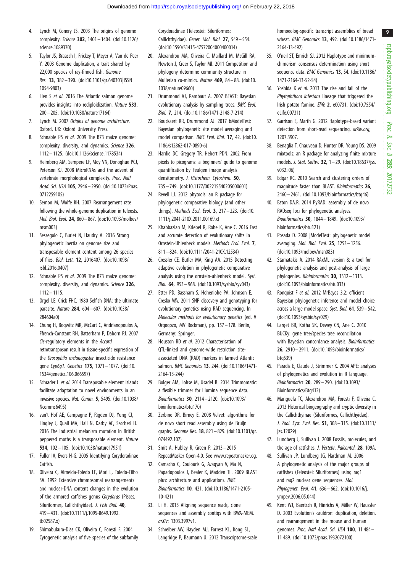- <span id="page-8-0"></span>4. Lynch M, Conery JS. 2003 The origins of genome complexity. Science 302, 1401– 1404. ([doi:10.1126/](http://dx.doi.org/10.1126/science.1089370) [science.1089370\)](http://dx.doi.org/10.1126/science.1089370)
- 5. Taylor JS, Braasch I, Frickey T, Meyer A, Van de Peer Y. 2003 Genome duplication, a trait shared by 22,000 species of ray-finned fish. Genome Res. 13, 382-390. [\(doi:10.1101/gr.640303](http://dx.doi.org/10.1101/gr.640303|ISSN 1054-9803)|[ISSN](http://dx.doi.org/10.1101/gr.640303|ISSN 1054-9803) [1054-9803\)](http://dx.doi.org/10.1101/gr.640303|ISSN 1054-9803)
- 6. Lien S et al. 2016 The Atlantic salmon genome provides insights into rediploidization. Nature 533, 200– 205. ([doi:10.1038/nature17164](http://dx.doi.org/10.1038/nature17164))
- 7. Lynch M. 2007 Origins of genome architecture. Oxford, UK: Oxford University Press.
- 8. Schnable PS et al. 2009 The B73 maize genome: complexity, diversity, and dynamics. Science 326, 1112 – 1125. [\(doi:10.1126/science.1178534](http://dx.doi.org/10.1126/science.1178534))
- 9. Heimberg AM, Sempere LF, Moy VN, Donoghue PCJ, Peterson KJ. 2008 MicroRNAs and the advent of vertebrate morphological complexity. Proc. Natl Acad. Sci. USA 105, 2946– 2950. [\(doi:10.1073/Pnas.](http://dx.doi.org/10.1073/Pnas.0712259105) [0712259105\)](http://dx.doi.org/10.1073/Pnas.0712259105)
- 10. Semon M, Wolfe KH. 2007 Rearrangement rate following the whole-genome duplication in teleosts. Mol. Biol. Evol. 24, 860– 867. ([doi:10.1093/molbev/](http://dx.doi.org/10.1093/molbev/msm003) [msm003\)](http://dx.doi.org/10.1093/molbev/msm003)
- 11. Sessegolo C, Burlet N, Haudry A. 2016 Strong phylogenetic inertia on genome size and transposable element content among 26 species of flies. Biol. Lett. 12, 2016407. [\(doi:10.1098/](http://dx.doi.org/10.1098/rsbl.2016.0407) [rsbl.2016.0407](http://dx.doi.org/10.1098/rsbl.2016.0407))
- 12. Schnable PS et al. 2009 The B73 maize genome: complexity, diversity, and dynamics. Science 326, 1112 – 1115.
- 13. Orgel LE, Crick FHC. 1980 Selfish DNA: the ultimate parasite. Nature 284, 604 – 607. ([doi:10.1038/](http://dx.doi.org/10.1038/284604a0) [284604a0\)](http://dx.doi.org/10.1038/284604a0)
- 14. Chung H, Bogwitz MR, McCart C, Andrianopoulos A, Ffrench-Constant RH, Batterham P, Daborn PJ. 2007 Cis-regulatory elements in the Accord retrotransposon result in tissue-specific expression of the *Drosophila melanogaster* insecticide resistance gene Cyp6g1. Genetics 175, 1071– 1077. [\(doi:10.](http://dx.doi.org/10.1534/genetics.106.066597) [1534/genetics.106.066597](http://dx.doi.org/10.1534/genetics.106.066597))
- 15. Schrader L et al. 2014 Transposable element islands facilitate adaptation to novel environments in an invasive species. Nat. Comm. 5, 5495. ([doi:10.1038/](http://dx.doi.org/10.1038/Ncomms6495) [Ncomms6495](http://dx.doi.org/10.1038/Ncomms6495))
- 16. van't Hof AE, Campagne P, Rigden DJ, Yung CJ, Lingley J, Quail MA, Hall N, Darby AC, Saccheri IJ. 2016 The industrial melanism mutation in British peppered moths is a transposable element. Nature 534, 102– 105. [\(doi:10.1038/nature17951](http://dx.doi.org/10.1038/nature17951))
- 17. Fuller IA, Evers H-G. 2005 Identifying Corydoradinae Catfish.
- 18. Oliveira C, Almeida-Toledo LF, Mori L, Toledo-Filho SA. 1992 Extensive chromosomal rearrangements and nuclear-DNA content changes in the evolution of the armored catfishes genus Corydoras (Pisces, Siluriformes, Callichthyidae). J. Fish Biol. 40, 419– 431. ([doi:10.1111/j.1095-8649.1992.](http://dx.doi.org/10.1111/j.1095-8649.1992.tb02587.x) [tb02587.x](http://dx.doi.org/10.1111/j.1095-8649.1992.tb02587.x))
- 19. Shimabukuro-Dias CK, Oliveira C, Foresti F. 2004 Cytogenetic analysis of five species of the subfamily

Corydoradinae (Teleostei: Siluriformes: Callichthyidae). Genet. Mol. Biol. 27, 549– 554. [\(doi:10.1590/S1415-47572004000400014](http://dx.doi.org/10.1590/S1415-47572004000400014))

- 20. Alexandrou MA, Oliveira C, Maillard M, McGill RA, Newton J, Creer S, Taylor MI. 2011 Competition and phylogeny determine community structure in Mullerian co-mimics. Nature 469, 84– 88. ([doi:10.](http://dx.doi.org/10.1038/nature09660) [1038/nature09660](http://dx.doi.org/10.1038/nature09660))
- 21. Drummond AJ, Rambaut A. 2007 BEAST: Bayesian evolutionary analysis by sampling trees. BMC Evol. Biol. 7, 214. [\(doi:10.1186/1471-2148-7-214\)](http://dx.doi.org/10.1186/1471-2148-7-214)
- 22. Bouckaert RR, Drummond AJ. 2017 bModelTest: Bayesian phylogenetic site model averaging and model comparison. BMC Evol. Biol. 17, 42. [\(doi:10.](http://dx.doi.org/10.1186/s12862-017-0890-6) [1186/s12862-017-0890-6\)](http://dx.doi.org/10.1186/s12862-017-0890-6)
- 23. Hardie DC, Gregory TR, Hebert PDN. 2002 From pixels to picograms: a beginners' guide to genome quantification by Feulgen image analysis densitometry. J. Histochem. Cytochem. 50, 735 – 749. [\(doi:10.1177/002215540205000601\)](http://dx.doi.org/10.1177/002215540205000601)
- 24. Revell LJ. 2012 phytools: an R package for phylogenetic comparative biology (and other things). Methods Ecol. Evol. 3, 217– 223. [\(doi:10.](http://dx.doi.org/10.1111/j.2041-210X.2011.00169.x) [1111/j.2041-210X.2011.00169.x](http://dx.doi.org/10.1111/j.2041-210X.2011.00169.x))
- 25. Khabbazian M, Kriebel R, Rohe K, Ane C. 2016 Fast and accurate detection of evolutionary shifts in Ornstein-Uhlenbeck models. Methods Ecol. Evol. 7, 811 – 824. [\(doi:10.1111/2041-210X.12534](http://dx.doi.org/10.1111/2041-210X.12534))
- 26. Cressler CE, Butler MA, King AA. 2015 Detecting adaptive evolution in phylogenetic comparative analysis using the ornstein-uhlenbeck model. Syst. Biol. 64, 953 – 968. [\(doi:10.1093/sysbio/syv043](http://dx.doi.org/10.1093/sysbio/syv043))
- 27. Etter PD, Bassham S, Hohenlohe PA, Johnson E, Cresko WA. 2011 SNP discovery and genotyping for evolutionary genetics using RAD sequencing. In Molecular methods for evolutionary genetics (ed. V Orgogozo, MV Rockman), pp. 157 – 178. Berlin, Germany: Springer.
- 28. Houston RD et al. 2012 Characterisation of QTL-linked and genome-wide restriction siteassociated DNA (RAD) markers in farmed Atlantic salmon. BMC Genomics 13, 244. [\(doi:10.1186/1471-](http://dx.doi.org/10.1186/1471-2164-13-244) [2164-13-244](http://dx.doi.org/10.1186/1471-2164-13-244))
- 29. Bolger AM, Lohse M, Usadel B. 2014 Trimmomatic: a flexible trimmer for Illumina sequence data. Bioinformatics 30, 2114– 2120. ([doi:10.1093/](http://dx.doi.org/10.1093/bioinformatics/btu170) [bioinformatics/btu170](http://dx.doi.org/10.1093/bioinformatics/btu170))
- 30. Zerbino DR, Birney E. 2008 Velvet: algorithms for de novo short read assembly using de Bruijn graphs. Genome Res. 18, 821 – 829. ([doi:10.1101/gr.](http://dx.doi.org/10.1101/gr.074492.107) [074492.107\)](http://dx.doi.org/10.1101/gr.074492.107)
- 31. Smit A, Hubley R, Green P. 2013 2015 RepeatMasker Open-4.0. See [www.repeatmasker.og](http://www.repeatmasker.og).
- 32. Camacho C, Coulouris G, Avagyan V, Ma N, Papadopoulos J, Bealer K, Madden TL. 2009 BLAST plus: architecture and applications. BMC Bioinformatics 10, 421. [\(doi:10.1186/1471-2105-](http://dx.doi.org/10.1186/1471-2105-10-421) [10-421](http://dx.doi.org/10.1186/1471-2105-10-421))
- 33. Li H. 2013 Aligning sequence reads, clone sequences and assembly contigs with BWA-MEM. arXiv: 1303.3997v1.
- 34. Schreiber AW, Hayden MJ, Forrest KL, Kong SL, Langridge P, Baumann U. 2012 Transcriptome-scale

homoeolog-specific transcript assemblies of bread wheat. BMC Genomics 13, 492. [\(doi:10.1186/1471-](http://dx.doi.org/10.1186/1471-2164-13-492) [2164-13-492\)](http://dx.doi.org/10.1186/1471-2164-13-492)

- 35. O'neil ST, Emrich SJ. 2012 Haplotype and minimumchimerism consensus determination using short sequence data. BMC Genomics 13, S4. [\(doi:10.1186/](http://dx.doi.org/10.1186/1471-2164-13-S2-S4) [1471-2164-13-S2-S4](http://dx.doi.org/10.1186/1471-2164-13-S2-S4))
- 36. Yoshida K et al. 2013 The rise and fall of the Phytophthora infestans lineage that triggered the Irish potato famine. Elife 2, e00731. [\(doi:10.7554/](http://dx.doi.org/10.7554/eLife.00731) [eLife.00731](http://dx.doi.org/10.7554/eLife.00731))
- 37. Garrison E, Marth G. 2012 Haplotype-based variant detection from short-read sequencing. arXiv.org, 1207.3907.
- 38. Benaglia T, Chauveau D, Hunter DR, Young DS. 2009 mixtools: an R package for analyzing finite mixture models. J. Stat. Softw. 32, 1– 29. [\(doi:10.18637/jss.](http://dx.doi.org/10.18637/jss.v032.i06) [v032.i06\)](http://dx.doi.org/10.18637/jss.v032.i06)
- 39. Edgar RC. 2010 Search and clustering orders of magnitude faster than BLAST. Bioinformatics 26, 2460– 2461. ([doi:10.1093/bioinformatics/btq46\)](http://dx.doi.org/10.1093/bioinformatics/btq46)
- 40. Eaton DA.R. 2014 PyRAD: assembly of de novo RADseq loci for phylogenetic analyses. Bioinformatics 30, 1844 – 1849. [\(doi:10.1093/](http://dx.doi.org/10.1093/bioinformatics/btu121) [bioinformatics/btu121](http://dx.doi.org/10.1093/bioinformatics/btu121))
- 41. Posada D. 2008 jModelTest: phylogenetic model averaging. Mol. Biol. Evol. 25, 1253– 1256. ([doi:10.1093/molbev/msn083](http://dx.doi.org/10.1093/molbev/msn083))
- 42. Stamatakis A. 2014 RAxML version 8: a tool for phylogenetic analysis and post-analysis of large phylogenies. Bioinformatics 30, 1312-1313. ([doi:10.1093/bioinformatics/btu033](http://dx.doi.org/10.1093/bioinformatics/btu033))
- 43. Ronquist F et al. 2012 MrBayes 3.2: efficient Bayesian phylogenetic inference and model choice across a large model space. Syst. Biol. 61, 539 – 542. ([doi:10.1093/sysbio/sys029](http://dx.doi.org/10.1093/sysbio/sys029))
- 44. Larget BR, Kotha SK, Dewey CN, Ane C. 2010 BUCKy: gene tree/species tree reconciliation with Bayesian concordance analysis. Bioinformatics 26, 2910– 2911. [\(doi:10.1093/bioinformatics/](http://dx.doi.org/10.1093/bioinformatics/btq539) ht<sub>a</sub>539)
- 45. Paradis E, Claude J, Strimmer K. 2004 APE: analyses of phylogenetics and evolution in R language. Bioinformatics 20, 289– 290. ([doi:10.1093/](http://dx.doi.org/10.1093/Bioinformatics/Btg412) [Bioinformatics/Btg412\)](http://dx.doi.org/10.1093/Bioinformatics/Btg412)
- 46. Mariguela TC, Alexandrou MA, Foresti F, Oliveira C. 2013 Historical biogeography and cryptic diversity in the Callichthyinae (Siluriformes, Callichthyidae). J. Zool. Syst. Evol. Res. 51, 308 – 315. [\(doi:10.1111/](http://dx.doi.org/10.1111/jzs.12029) [jzs.12029](http://dx.doi.org/10.1111/jzs.12029))
- 47. Lundberg J, Sullivan J. 2008 Fossils, molecules, and the age of catfishes. J. Vertebr. Paleontol. 28, 109A.
- 48. Sullivan JP, Lundberg JG, Hardman M. 2006 A phylogenetic analysis of the major groups of catfishes (Teleostei: Siluriformes) using rag1 and rag2 nuclear gene sequences. Mol. Phylogenet. Evol. 41, 636– 662. [\(doi:10.1016/j.](http://dx.doi.org/10.1016/j.ympev.2006.05.044) [ympev.2006.05.044\)](http://dx.doi.org/10.1016/j.ympev.2006.05.044)
- 49. Kent WJ, Baertsch R, Hinrichs A, Miller W, Haussler D. 2003 Evolution's cauldron: duplication, deletion, and rearrangement in the mouse and human genomes. Proc. Natl Acad. Sci. USA 100, 11 484-11 489. [\(doi:10.1073/pnas.1932072100](http://dx.doi.org/10.1073/pnas.1932072100))